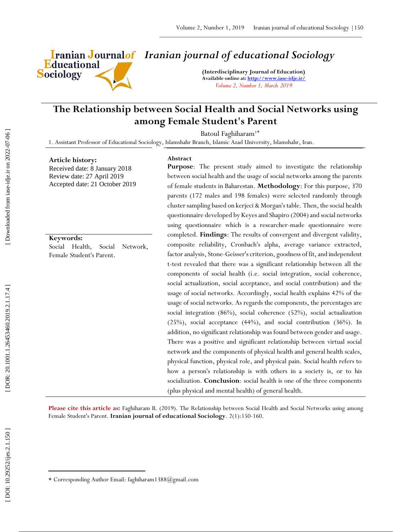Educational **Sociology** 

# *Iranian journal of educational Sociology*

**(Interdisciplinary Journal of Education) Available online at[: http://www.iase](http://www.iase-idje.ir/) -idje.ir/** *Volume 2, Number 1, March 2019*

# **The Relationship between Social Health and Social Networks using among Female Student's Parent**

Batoul Faghiharam<sup>1\*</sup>

1. Assistant Professor of Educational Sociology, Islamshahr Branch, Islamic Azad University, Islamshahr, Iran.

#### **Article history:**

Received date: 8 January 2018 Review date: 27 April 2019 Accepted date: 21 October 2019

#### **Keywords:**

Social Health, Social Network, Female Student's Parent.

# **Abstract**

**Purpose**: The present study aimed to investigate the relationship between social health and the usage of social networks among the parents of female students in Baharestan. **Methodology**: For this purpose, 370 parents (172 males and 198 females) were selected randomly through cluster sampling based on kerjeci & Morgan's table. Then, the social health questionnaire developed by Keyes and Shapiro (2004) and social networks using questionnaire which is a researcher -made questionnaire were completed. **Findings**: The results of convergent and divergent validity, composite reliability, Cronbach's alpha, average variance extracted, factor analysis, Stone -Geisser's criterion, goodness of fit, and independent t -test revealed that there was a significant relationship between all the components of social health (i.e. social integration, social coherence, social actualization, social acceptance, and social contribution) and the usage of social networks. Accordingly, social health explains 42% of the usage of social networks. As regards the components, the percentages are social integration (86%), social coherence (52%), social actualization (25%), social acceptance (44%), and social contribution (36%). In addition, no significant relationship was found between gender and usage. There was a positive and significant relationship between virtual social network and the components of physical health and general health scales, physical function, physical role, and physical pain. Social health refers to how a person's relationship is with others in a society is, or to his socialization. **Conclusion**: social health is one of the three components (plus physical and mental health) of general health.

Please cite this article as: Faghiharam B. (2019). The Relationship between Social Health and Social Networks using among Female Student's Parent. **Iranian journal of educational Sociology**. 2 ( 1):150 -160.

 $\overline{\phantom{a}}$ 

Corresponding Author Email: faghiharam1388@gmail.com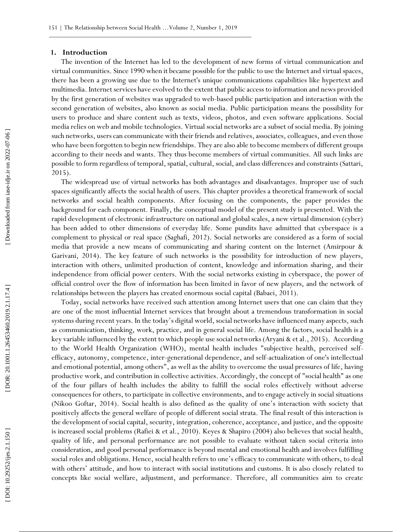#### **1. Introduction**

The invention of the Internet has led to the development of new forms of virtual communication and virtual communities. Since 1990 when it became possible for the public to use the Internet and virtual spaces, there has been a growing use due to the Internet's unique communications capabilities like hypertext and multimedia. Internet services have evolved to the extent that public access to information and news provided by the first generation of websites was upgraded to web -based public participation and interaction with the second generation of websites, also known as social media. Public participation means the possibility for users to produce and share content such as texts, videos, photos, and even software applications. Social media relies on web and mobile technologies. Virtual social networks are a subset of social media. By joining such networks, users can communicate with their friends and relatives, associates, colleagues, and even those who have been forgotten to begin new friendships. They are also able to become members of different groups according to their needs and wants. They thus become members of virtual communities. All such links are possible to form regardless of temporal, spatial, cultural, social, and class differences and constraints (Sattari, 2015).

The widespread use of virtual networks has both advantages and disadvantages. Improper use of such spaces significantly affects the social health of users. This chapter provides a theoretical framework of social networks and social health components. After focusing on the components, the paper provides the background for each component. Finally, the conceptual model of the present study is presented. With the rapid development of electronic infrastructure on national and global scales, a new virtual dimension (cyber) has been added to other dimensions of everyday life. Some pundits have admitted that cyberspace is a complement to physical or real space (Saghafi, 2012). Social networks are considered as a form of social media that provide a new means of communicating and sharing content on the Internet (Amirpour & Garivani, 2014). The key feature of such networks is the possibility for introduction of new players, interaction with others, unlimited production of content, knowledge and information sharing, and their independence from official power centers. With the social networks existing in cyberspace, the power of official control over the flow of information has been limited in favor of new players, and the network of relationships between the players has created enormous social capital (Babaei, 2011).

Today, social networks have received such attention among Internet users that one can claim that they are one of the most influential Internet services that brought about a tremendous transformation in social systems during recent years. In the today's digital world, social networks have influenced many aspects, such as communication, thinking, work, practice, and in general social life. Among the factors, social health is a key variable influenced by the extent to which people use social networks (Aryani & et al., 2015). According to the World Health Organization (WHO), mental health includes "subjective health, perceived self efficacy, autonomy, competence, inter -generational dependence, and self -actualization of one's intellectual and emotional potential, among others", as well as the ability to overcome the usual pressures of life, having productive work, and contribution in collective activities. Accordingly, the concept of "social health" as one of the four pillars of health includes the ability to fulfill the social roles effectively without adverse consequences for others, to participate in collective environments, and to engage actively in social situations (Nikoo Goftar, 2014). Social health is also defined as the quality of one's interaction with society that positively affects the general welfare of people of different social strata. The final result of this interaction is the development of social capital, security, integration, coherence, acceptance, and justice, and the opposite is increased social problems (Rafiei & et al., 2010). Keyes & Shapiro (2004) also believes that social health, quality of life, and personal performance are not possible to evaluate without taken social criteria into consideration, and good personal performance is beyond mental and emotional health and involves fulfilling social roles and obligations. Hence, social health refers to one's efficacy to communicate with others, to deal with others' attitude, and how to interact with social institutions and customs. It is also closely related to concepts like social welfare, adjustment, and performance. Therefore, all communities aim to create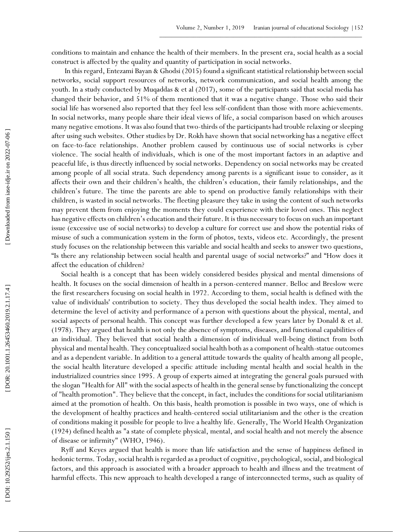conditions to maintain and enhance the health of their members. In the present era, social health as a social construct is affected by the quality and quantity of participation in social networks.

 In this regard, Entezami Bayan & Ghodsi (2015) found a significant statistical relationship between social networks, social support resources of networks, network communication, and social health among the youth. In a study conducted by Muqaddas & et al (2017), some of the participants said that social media has changed their behavior, and 51% of them mentioned that it was a negative change. Those who said their social life has worsened also reported that they feel less self-confident than those with more achievements. In social networks, many people share their ideal views of life, a social comparison based on which arouses many negative emotions. It was also found that two -thirds of the participants had trouble relaxing or sleeping after using such websites. Other studies by Dr. Rokh have shown that social networking has a negative effect on face -to -face relationships. Another problem caused by continuous use of social networks is cyber violence. The social health of individuals, which is one of the most important factors in an adaptive and peaceful life, is thus directly influenced by social networks. Dependency on social networks may be created among people of all social strata. Such dependency among parents is a significant issue to consider, as it affects their own and their children's health, the children's education, their family relationships, and the children's future. The time the parents are able to spend on productive family relationships with their children, is wasted in social networks. The fleeting pleasure they take in using the content of such networks may prevent them from enjoying the moments they could experience with their loved ones. This neglect has negative effects on children's education and their future. It is thus necessary to focus on such an important issue (excessive use of social networks) to develop a culture for correct use and show the potential risks of misuse of such a communication system in the form of photos, texts, videos etc. Accordingly, the present study focuses on the relationship between this variable and social health and seeks to answer two questions, "Is there any relationship between social health and parental usage of social networks?" and "How does it affect the education of children?

Social health is a concept that has been widely considered besides physical and mental dimensions of health. It focuses on the social dimension of health in a person -centered manner. Belloc and Breslow were the first researchers focusing on social health in 1972. According to them, social health is defined with the value of individuals' contribution to society. They thus developed the social health index. They aimed to determine the level of activity and performance of a person with questions about the physical, mental, and social aspects of personal health. This concept was further developed a few years later by Donald & et al. (1978). They argued that health is not only the absence of symptoms, diseases, and functional capabilities of an individual. They believed that social health a dimension of individual well -being distinct from both physical and mental health. They conceptualized social health both as a component of health -statue outcomes and as a dependent variable. In addition to a general attitude towards the quality of health among all people, the social health literature developed a specific attitude including mental health and social health in the industrialized countries since 1995. A group of experts aimed at integrating the general goals pursued with the slogan "Health for All" with the social aspects of health in the general sense by functionalizing the concept of "health promotion". They believe that the concept, in fact, includes the conditions for social utilitarianism aimed at the promotion of health. On this basis, health promotion is possible in two ways, one of which is the development of healthy practices and health -centered social utilitarianism and the other is the creation of conditions making it possible for people to live a healthy life. Generally, The World Health Organization (1924) defined health as "a state of complete physical, mental, and social health and not merely the absence of disease or infirmity" (WHO, 1946).

Ryff and Keyes argued that health is more than life satisfaction and the sense of happiness defined in hedonic terms. Today, social health is regarded as a product of cognitive, psychological, social, and biological factors, and this approach is associated with a broader approach to health and illness and the treatment of harmful effects. This new approach to health developed a range of interconnected terms, such as quality of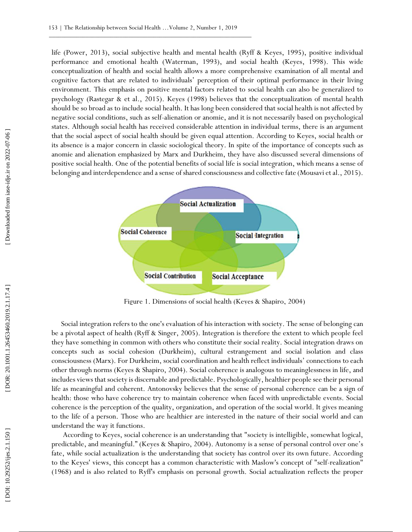life (Power, 2013), social subjective health and mental health (Ryff & Keyes, 1995), positive individual performance and emotional health (Waterman, 1993), and social health (Keyes, 1998). This wide conceptualization of health and social health allows a more comprehensive examination of all mental and cognitive factors that are related to individuals' perception of their optimal performance in their living environment. This emphasis on positive mental factors related to social health can also be generalized to psychology (Rastegar & et al., 2015). Keyes (1998) believes that the conceptualization of mental health should be so broad as to include social health. It has long been considered that social health is not affected by negative social conditions, such as self -alienation or anomie, and it is not necessarily based on psychological states. Although social health has received considerable attention in individual terms, there is an argument that the social aspect of social health should be given equal attention. According to Keyes, social health or its absence is a major concern in classic sociological theory. In spite of the importance of concepts such as anomie and alienation emphasized by Marx and Durkheim, they have also discussed several dimensions of positive social health. One of the potential benefits of social life is social integration, which means a sense of belonging and interdependence and a sense of shared consciousness and collective fate (Mousavi et al., 2015).



Figure 1. Dimensions of social health (Keyes & Shapiro, 2004)

Social integration refers to the one's evaluation of his interaction with society. The sense of belonging can be a pivotal aspect of health (Ryff & Singer, 2005). Integration is therefore the extent to which people feel they have something in common with others who constitute their social reality. Social integration draws on concepts such as social cohesion (Durkheim), cultural estrangement and social isolation and class consciousness (Marx). For Durkheim, social coordination and health reflect individuals' connections to each other through norms (Keyes & Shapiro, 2004). Social coherence is analogous to meaninglessness in life, and includes views that society is discernable and predictable. Psychologically, healthier people see their personal life as meaningful and coherent. Antonovsky believes that the sense of personal coherence can be a sign of health: those who have coherence try to maintain coherence when faced with unpredictable events. Social coherence is the perception of the quality, organization, and operation of the social world. It gives meaning to the life of a person. Those who are healthier are interested in the nature of their social world and can understand the way it functions.

According to Keyes, social coherence is an understanding that "society is intelligible, somewhat logical, predictable, and meaningful." (Keyes & Shapiro, 2004). Autonomy is a sense of personal control over one's fate, while social actualization is the understanding that society has control over its own future. According to the Keyes' views, this concept has a common characteristic with Maslow's concept of "self-realization" (1968) and is also related to Ryff's emphasis on personal growth. Social actualization reflects the proper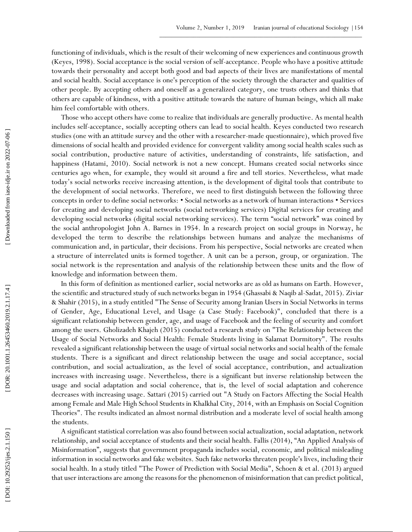functioning of individuals, which is the result of their welcoming of new experiences and continuous growth (Keyes, 1998). Social acceptance is the social version of self -acceptance. People who have a positive attitude towards their personality and accept both good and bad aspects of their lives are manifestations of mental and social health. Social acceptance is one's perception of the society through the character and qualities of other people. By accepting others and oneself as a generalized category, one trusts others and thinks that others are capable of kindness, with a positive attitude towards the nature of human beings, which all make him feel comfortable with others.

Those who accept others have come to realize that individuals are generally productive. As mental health includes self-acceptance, socially accepting others can lead to social health. Keyes conducted two research studies (one with an attitude survey and the other with a researcher -made questionnaire), which proved five dimensions of social health and provided evidence for convergent validity among social health scales such as social contribution, productive nature of activities, understanding of constraints, life satisfaction, and happiness (Hatami, 2010). Social network is not a new concept. Humans created social networks since centuries ago when, for example, they would sit around a fire and tell stories. Nevertheless, what made today's social networks receive increasing attention, is the development of digital tools that contribute to the development of social networks. Therefore, we need to first distinguish between the following three concepts in order to define social networks: • Social networks as a network of human interactions • Services for creating and developing social networks (social networking services) Digital services for creating and developing social networks (digital social networking services). The term "social network" was coined by the social anthropologist John A. Barnes in 1954. In a research project on social groups in Norway, he developed the term to describe the relationships between humans and analyze the mechanisms of communication and, in particular, their decisions. From his perspective, Social networks are created when a structure of interrelated units is formed together. A unit can be a person, group, or organization. The social network is the representation and analysis of the relationship between these units and the flow of knowledge and information between them.

In this form of definition as mentioned earlier, social networks are as old as humans on Earth. However, the scientific and structured study of such networks began in 1954 (Ghassabi & Naqib al -Sadat, 2015). Ziviar & Shahir (2015), in a study entitled "The Sense of Security among Iranian Users in Social Networks in terms of Gender, Age, Educational Level, and Usage (a Case Study: Facebook)", concluded that there is a significant relationship between gender, age, and usage of Facebook and the feeling of security and comfort among the users. Gholizadeh Khajeh (2015) conducted a research study on "The Relationship between the Usage of Social Networks and Social Health: Female Students living in Salamat Dormitory". The results revealed a significant relationship between the usage of virtual social networks and social health of the female students. There is a significant and direct relationship between the usage and social acceptance, social contribution, and social actualization, as the level of social acceptance, contribution, and actualization increases with increasing usage. Nevertheless, there is a significant but inverse relationship between the usage and social adaptation and social coherence, that is, the level of social adaptation and coherence decreases with increasing usage. Sattari (2015) carried out "A Study on Factors Affecting the Social Health among Female and Male High School Students in Khalkhal City, 2014, with an Emphasis on Social Cognition Theories". The results indicated an almost normal distribution and a moderate level of social health among the students.

A significant statistical correlation was also found between social actualization, social adaptation, network relationship, and social acceptance of students and their social health. Fallis (2014), "An Applied Analysis of Misinformation", suggests that government propaganda includes social, economic, and political misleading information in social networks and fake websites. Such fake networks threaten people's lives, including their social health. In a study titled "The Power of Prediction with Social Media", Schoen & et al. (2013) argued that user interactions are among the reasons for the phenomenon of misinformation that can predict political,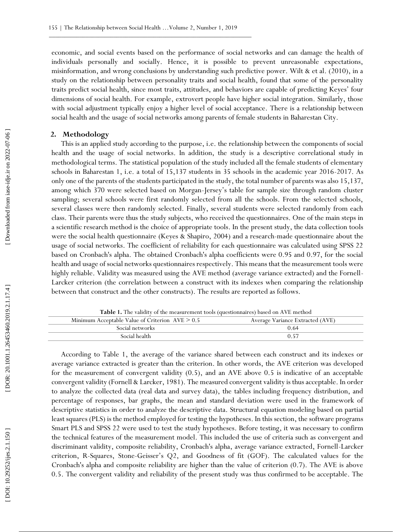economic, and social events based on the performance of social networks and can damage the health of individuals personally and socially. Hence, it is possible to prevent unreasonable expectations, misinformation, and wrong conclusions by understanding such predictive power. Wilt & et al. (2010), in a study on the relationship between personality traits and social health, found that some of the personality traits predict social health, since most traits, attitudes, and behaviors are capable of predicting Keyes' four dimensions of social health. For example, extrovert people have higher social integration. Similarly, those with social adjustment typically enjoy a higher level of social acceptance. There is a relationship between social health and the usage of social networks among parents of female students in Baharestan City.

#### **2. Methodology**

This is an applied study according to the purpose, i.e. the relationship between the components of social health and the usage of social networks. In addition, the study is a descriptive correlational study in methodological terms. The statistical population of the study included all the female students of elementary schools in Baharestan 1, i.e. a total of 15,137 students in 35 schools in the academic year 2016-2017. As only one of the parents of the students participated in the study, the total number of parents was also 15,137, among which 370 were selected based on Morgan -Jersey's table for sample size through random cluster sampling; several schools were first randomly selected from all the schools. From the selected schools, several classes were then randomly selected. Finally, several students were selected randomly from each class. Their parents were thus the study subjects, who received the questionnaires. One of the main steps in a scientific research method is the choice of appropriate tools. In the present study, the data collection tools were the social health questionnaire (Keyes & Shapiro, 2004) and a research -made questionnaire about the usage of social networks. The coefficient of reliability for each questionnaire was calculated using SPSS 22 based on Cronbach's alpha. The obtained Cronbach's alpha coefficients were 0.95 and 0.97, for the social health and usage of social networks questionnaires respectively. This means that the measurement tools were highly reliable. Validity was measured using the AVE method (average variance extracted) and the Fornell - Larcker criterion (the correlation between a construct with its indexes when comparing the relationship between that construct and the other constructs). The results are reported as follows.

**Table 1.** The validity of the measurement tools (questionnaires) based on AVE method

| Minimum Acceptable Value of Criterion $AVE \geq 0.5$ | Average Variance Extracted (AVE) |
|------------------------------------------------------|----------------------------------|
| Social networks                                      | 0.64                             |
| - Social health                                      | 0.57                             |
|                                                      |                                  |

According to Table 1, the average of the variance shared between each construct and its indexes or average variance extracted is greater than the criterion. In other words, the AVE criterion was developed for the measurement of convergent validity (0.5), and an AVE above 0.5 is indicative of an acceptable convergent validity (Fornell & Larcker, 1981). The measured convergent validity is thus acceptable. In order to analyze the collected data (real data and survey data), the tables including frequency distribution, and percentage of responses, bar graphs, the mean and standard deviation were used in the framework of descriptive statistics in order to analyze the descriptive data. Structural equation modeling based on partial least squares (PLS) is the method employed for testing the hypotheses. In this section, the software programs Smart PLS and SPSS 22 were used to test the study hypotheses. Before testing, it was necessary to confirm the technical features of the measurement model. This included the use of criteria such as convergent and discriminant validity, composite reliability, Cronbach's alpha, average variance extracted, Fornell -Larcker criterion, R -Squares, Stone -Geisser's Q2, and Goodness of fit (GOF). The calculated values for the Cronbach's alpha and composite reliability are higher than the value of criterion (0.7). The AVE is above 0.5. The convergent validity and reliability of the present study was thus confirmed to be acceptable. The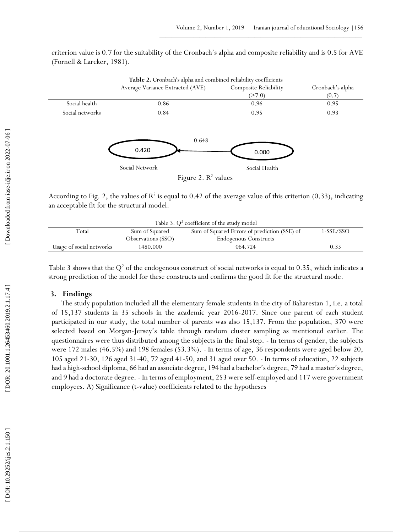criterion value is 0.7 for the suitability of the Cronbach's alpha and composite reliability and is 0.5 for AVE (Fornell & Larcker, 1981).

|                 | Average Variance Extracted (AVE) | <b>Composite Reliability</b> | Cronbach's alpha |
|-----------------|----------------------------------|------------------------------|------------------|
|                 |                                  | (27.0)                       | (0.7)            |
| Social health   | 0.86                             | 0.96                         | 0.95             |
| Social networks | 0.84                             | 0.95                         | 0.93             |





According to Fig. 2, the values of  $R^2$  is equal to 0.42 of the average value of this criterion (0.33), indicating an acceptable fit for the structural model.

| Table 3. $Q^2$ coefficient of the study model |                    |                                              |           |  |
|-----------------------------------------------|--------------------|----------------------------------------------|-----------|--|
| Total                                         | Sum of Squared     | Sum of Squared Errors of prediction (SSE) of | 1-SSE/SSO |  |
|                                               | Observations (SSO) | <b>Endogenous Constructs</b>                 |           |  |
| Usage of social networks                      | 1480.000           | 064.724                                      | 0.35      |  |

Table 3 shows that the  $Q^2$  of the endogenous construct of social networks is equal to 0.35, which indicates a strong prediction of the model for these constructs and confirms the good fit for the structural mode.

## **3. Findings**

The study population included all the elementary female students in the city of Baharestan 1, i.e. a total of 15,137 students in 35 schools in the academic year 2016 -2017. Since one parent of each student participated in our study, the total number of parents was also 15,137. From the population, 370 were selected based on Morgan -Jersey's table through random cluster sampling as mentioned earlier. The questionnaires were thus distributed among the subjects in the final step. - In terms of gender, the subjects were 172 males (46.5%) and 198 females (53.3%). - In terms of age, 36 respondents were aged below 20, 105 aged 21 -30, 126 aged 31 -40, 72 aged 41 -50, and 31 aged over 50. - In terms of education, 22 subjects had a high -school diploma, 66 had an associate degree, 194 had a bachelor's degree, 79 had a master's degree, and 9 had a doctorate degree. - In terms of employment, 253 were self-employed and 117 were government employees. A) Significance (t -value) coefficients related to the hypotheses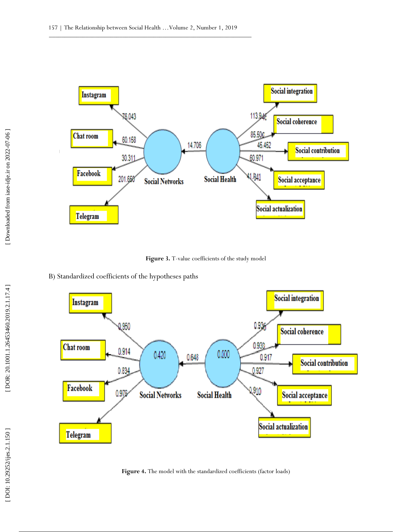

Figure 3. T-value coefficients of the study model





Figure 4. The model with the standardized coefficients (factor loads)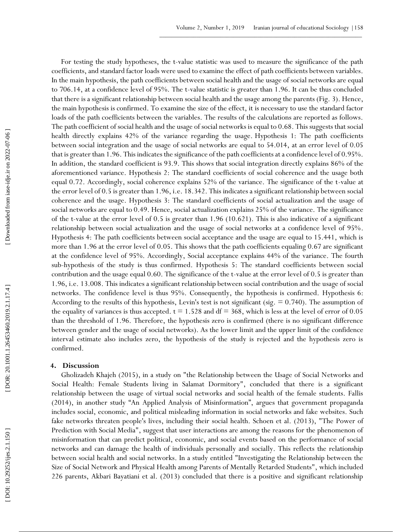For testing the study hypotheses, the t -value statistic was used to measure the significance of the path coefficients, and standard factor loads were used to examine the effect of path coefficients between variables. In the main hypothesis, the path coefficients between social health and the usage of social networks are equal to 706.14, at a confidence level of 95%. The t -value statistic is greater than 1.96. It can be thus concluded that there is a significant relationship between social health and the usage among the parents (Fig. 3). Hence, the main hypothesis is confirmed. To examine the size of the effect, it is necessary to use the standard factor loads of the path coefficients between the variables. The results of the calculations are reported as follows. The path coefficient of social health and the usage of social networks is equal to 0.68. This suggests that social health directly explains 42% of the variance regarding the usage. Hypothesis 1: The path coefficients between social integration and the usage of social networks are equal to 54.014, at an error level of 0.05 that is greater than 1.96. This indicates the significance of the path coefficients at a confidence level of 0.95%. In addition, the standard coefficient is 93.9. This shows that social integration directly explains 86% of the aforementioned variance. Hypothesis 2: The standard coefficients of social coherence and the usage both equal 0.72. Accordingly, social coherence explains 52% of the variance. The significance of the t -value at the error level of 0.5 is greater than 1.96, i.e. 18.342. This indicates a significant relationship between social coherence and the usage. Hypothesis 3: The standard coefficients of social actualization and the usage of social networks are equal to 0.49. Hence, social actualization explains 25% of the variance. The significance of the t -value at the error level of 0.5 is greater than 1.96 (10.621). This is also indicative of a significant relationship between social actualization and the usage of social networks at a confidence level of 95%. Hypothesis 4: The path coefficients between social acceptance and the usage are equal to 15.441, which is more than 1.96 at the error level of 0.05. This shows that the path coefficients equaling 0.67 are significant at the confidence level of 95%. Accordingly, Social acceptance explains 44% of the variance. The fourth sub -hypothesis of the study is thus confirmed. Hypothesis 5: The standard coefficients between social contribution and the usage equal 0.60. The significance of the t -value at the error level of 0.5 is greater than 1.96, i.e. 13.008. This indicates a significant relationship between social contribution and the usage of social networks. The confidence level is thus 95%. Consequently, the hypothesis is confirmed. Hypothesis 6: According to the results of this hypothesis, Levin's test is not significant (sig. = 0.740). The assumption of the equality of variances is thus accepted.  $t = 1.528$  and  $df = 368$ , which is less at the level of error of 0.05 than the threshold of 1.96. Therefore, the hypothesis zero is confirmed (there is no significant difference between gender and the usage of social networks). As the lower limit and the upper limit of the confidence interval estimate also includes zero, the hypothesis of the study is rejected and the hypothesis zero is confirmed.

### **4. Discussion**

Gholizadeh Khajeh (2015), in a study on "the Relationship between the Usage of Social Networks and Social Health: Female Students living in Salamat Dormitory", concluded that there is a significant relationship between the usage of virtual social networks and social health of the female students. Fallis (2014), in another study "An Applied Analysis of Misinformation", argues that government propaganda includes social, economic, and political misleading information in social networks and fake websites. Such fake networks threaten people's lives, including their social health. Schoen et al. (2013), "The Power of Prediction with Social Media", suggest that user interactions are among the reasons for the phenomenon of misinformation that can predict political, economic, and social events based on the performance of social networks and can damage the health of individuals personally and socially. This reflects the relationship between social health and social networks. In a study entitled "Investigating the Relationship between the Size of Social Network and Physical Health among Parents of Mentally Retarded Students", which included 226 parents, Akbari Bayatiani et al. (2013) concluded that there is a positive and significant relationship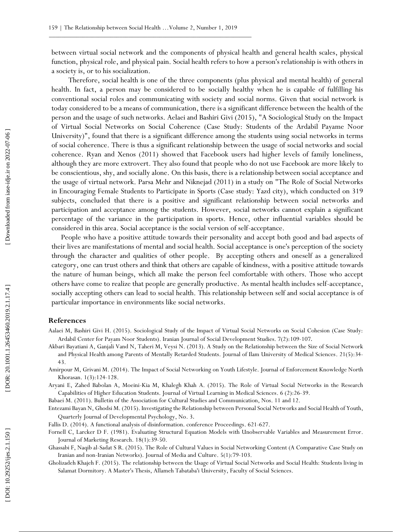between virtual social network and the components of physical health and general health scales, physical function, physical role, and physical pain. Social health refers to how a person's relationship is with others in a society is, or to his socialization.

 Therefore, social health is one of the three components (plus physical and mental health) of general health. In fact, a person may be considered to be socially healthy when he is capable of fulfilling his conventional social roles and communicating with society and social norms. Given that social network is today considered to be a means of communication, there is a significant difference between the health of the person and the usage of such networks. Aelaei and Bashiri Givi (2015), "A Sociological Study on the Impact of Virtual Social Networks on Social Coherence (Case Study: Students of the Ardabil Payame Noor University)", found that there is a significant difference among the students using social networks in terms of social coherence. There is thus a significant relationship between the usage of social networks and social coherence. Ryan and Xenos (2011) showed that Facebook users had higher levels of family loneliness, although they are more extrovert. They also found that people who do not use Facebook are more likely to be conscientious, shy, and socially alone. On this basis, there is a relationship between social acceptance and the usage of virtual network. Parsa Mehr and Niknejad (2011) in a study on "The Role of Social Networks in Encouraging Female Students to Participate in Sports (Case study: Yazd city), which conducted on 319 subjects, concluded that there is a positive and significant relationship between social networks and participation and acceptance among the students. However, social networks cannot explain a significant percentage of the variance in the participation in sports. Hence, other influential variables should be considered in this area. Social acceptance is the social version of self -acceptance.

People who have a positive attitude towards their personality and accept both good and bad aspects of their lives are manifestations of mental and social health. Social acceptance is one's perception of the society through the character and qualities of other people. By accepting others and oneself as a generalized category, one can trust others and think that others are capable of kindness, with a positive attitude towards the nature of human beings, which all make the person feel comfortable with others. Those who accept others have come to realize that people are generally productive. As mental health includes self -acceptance, socially accepting others can lead to social health. This relationship between self and social acceptance is of particular importance in environments like social networks.

## **References**

- Aalaei M, Bashiri Givi H. (2015). Sociological Study of the Impact of Virtual Social Networks on Social Cohesion (Case Study: Ardabil Center for Payam Noor Students). Iranian Journal of Social Development Studies. 7(2):109-107.
- Akbari Bayatiani A, Ganjali Vand N, Taheri M, Veys i N. (2013). A Study on the Relationship between the Size of Social Network and Physical Health among Parents of Mentally Retarded Students. Journal of Ilam University of Medical Sciences. 21(5):34 - 43.
- Amirpour M, Grivani M. (2014). The Impact of Social Networking on Youth Lifestyle. Journal of Enforcement Knowledge North Khorasan. 1(3):124 -128.

Aryani E, Zahed Babolan A, Moeini-Kia M, Khalegh Khah A. (2015). The Role of Virtual Social Networks in the Research Capabilities of Higher Education Students. Journal of Virtual Learning in Medical Sciences. 6 (2):26 -39.

Babaei M. (2011). Bulletin of the Association for Cultural Studies and Communication, Nos. 11 and 12.

Entezami Bayan N, Ghodsi M. (2015). Investigating the Relationship between Personal Social Networks and Social Health of Youth, Quarterly Journal of Developmental Psychology, No. 3 .

Fallis D. (2014). A functional analysis of disinformation. conference Proceedings. 621 -627.

Fornell C, Larcker D F. (1981). Evaluating Structural Equation Models with Unobservable Variables and Measurement Error. Journal of Marketing Research. 18(1):39 -50.

Ghassabi F, Naqib al -Sadat S R. (2015). The Role of Cultural Values in Social Networking Content (A Comparative Case Study on Iranian and non -Iranian Networks). Journal of Media and Culture. 5(1):79 -103.

Gholizadeh Khajeh F. (2015). The relationship between the Usage of Virtual Social Networks and Social Health: Students living in Salamat Dormitory. A Master's Thesis, Allameh Tabataba'i University, Faculty of Social Sciences.